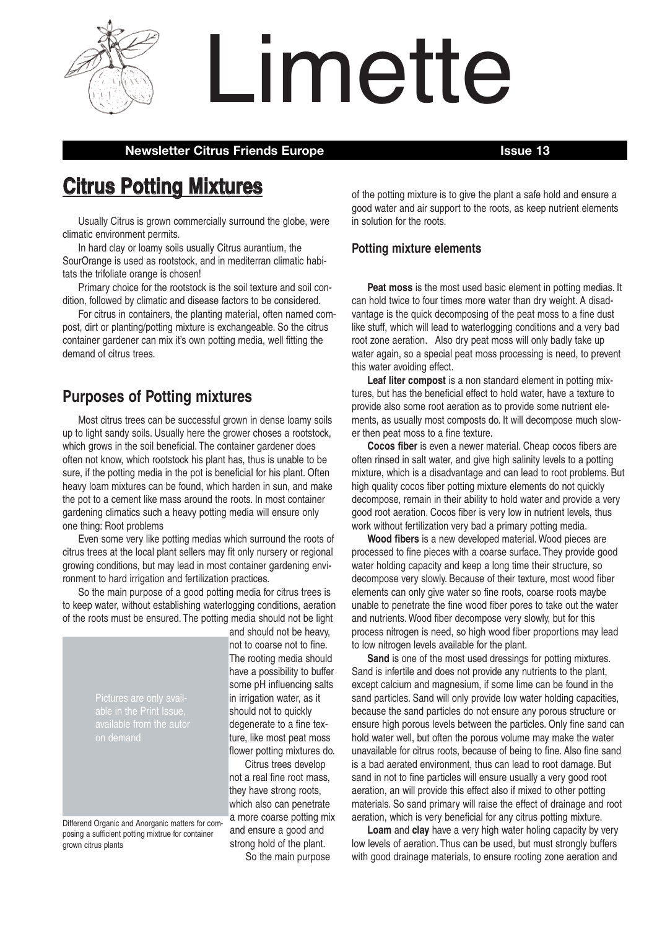

Limette

# **Newsletter Citrus Friends Europe Issue 13**

# **Citrus Potting Mixtures**

Usually Citrus is grown commercially surround the globe, were climatic environment permits.

In hard clay or loamy soils usually Citrus aurantium, the SourOrange is used as rootstock, and in mediterran climatic habitats the trifoliate orange is chosen!

Primary choice for the rootstock is the soil texture and soil condition, followed by climatic and disease factors to be considered.

For citrus in containers, the planting material, often named compost, dirt or planting/potting mixture is exchangeable. So the citrus container gardener can mix it's own potting media, well fitting the demand of citrus trees.

# **Purposes of Potting mixtures**

Most citrus trees can be successful grown in dense loamy soils up to light sandy soils. Usually here the grower choses a rootstock, which grows in the soil beneficial. The container gardener does often not know, which rootstock his plant has, thus is unable to be sure, if the potting media in the pot is beneficial for his plant. Often heavy loam mixtures can be found, which harden in sun, and make the pot to a cement like mass around the roots. In most container gardening climatics such a heavy potting media will ensure only one thing: Root problems

Even some very like potting medias which surround the roots of citrus trees at the local plant sellers may fit only nursery or regional growing conditions, but may lead in most container gardening environment to hard irrigation and fertilization practices.

So the main purpose of a good potting media for citrus trees is to keep water, without establishing waterlogging conditions, aeration of the roots must be ensured. The potting media should not be light

Pictures are only available in the Print Issue,

Differend Organic and Anorganic matters for composing a sufficient potting mixtrue for container grown citrus plants

and should not be heavy, not to coarse not to fine. The rooting media should have a possibility to buffer some pH influencing salts in irrigation water, as it should not to quickly degenerate to a fine texture, like most peat moss flower potting mixtures do.

Citrus trees develop not a real fine root mass, they have strong roots, which also can penetrate a more coarse potting mix and ensure a good and strong hold of the plant. So the main purpose

of the potting mixture is to give the plant a safe hold and ensure a good water and air support to the roots, as keep nutrient elements in solution for the roots.

# **Potting mixture elements**

**Peat moss** is the most used basic element in potting medias. It can hold twice to four times more water than dry weight. A disadvantage is the quick decomposing of the peat moss to a fine dust like stuff, which will lead to waterlogging conditions and a very bad root zone aeration. Also dry peat moss will only badly take up water again, so a special peat moss processing is need, to prevent this water avoiding effect.

**Leaf liter compost** is a non standard element in potting mixtures, but has the beneficial effect to hold water, have a texture to provide also some root aeration as to provide some nutrient elements, as usually most composts do. It will decompose much slower then peat moss to a fine texture.

**Cocos fiber** is even a newer material. Cheap cocos fibers are often rinsed in salt water, and give high salinity levels to a potting mixture, which is a disadvantage and can lead to root problems. But high quality cocos fiber potting mixture elements do not quickly decompose, remain in their ability to hold water and provide a very good root aeration. Cocos fiber is very low in nutrient levels, thus work without fertilization very bad a primary potting media.

**Wood fibers** is a new developed material.Wood pieces are processed to fine pieces with a coarse surface. They provide good water holding capacity and keep a long time their structure, so decompose very slowly. Because of their texture, most wood fiber elements can only give water so fine roots, coarse roots maybe unable to penetrate the fine wood fiber pores to take out the water and nutrients.Wood fiber decompose very slowly, but for this process nitrogen is need, so high wood fiber proportions may lead to low nitrogen levels available for the plant.

**Sand** is one of the most used dressings for potting mixtures. Sand is infertile and does not provide any nutrients to the plant, except calcium and magnesium, if some lime can be found in the sand particles. Sand will only provide low water holding capacities, because the sand particles do not ensure any porous structure or ensure high porous levels between the particles. Only fine sand can hold water well, but often the porous volume may make the water unavailable for citrus roots, because of being to fine. Also fine sand is a bad aerated environment, thus can lead to root damage. But sand in not to fine particles will ensure usually a very good root aeration, an will provide this effect also if mixed to other potting materials. So sand primary will raise the effect of drainage and root aeration, which is very beneficial for any citrus potting mixture.

**Loam** and **clay** have a very high water holing capacity by very low levels of aeration. Thus can be used, but must strongly buffers with good drainage materials, to ensure rooting zone aeration and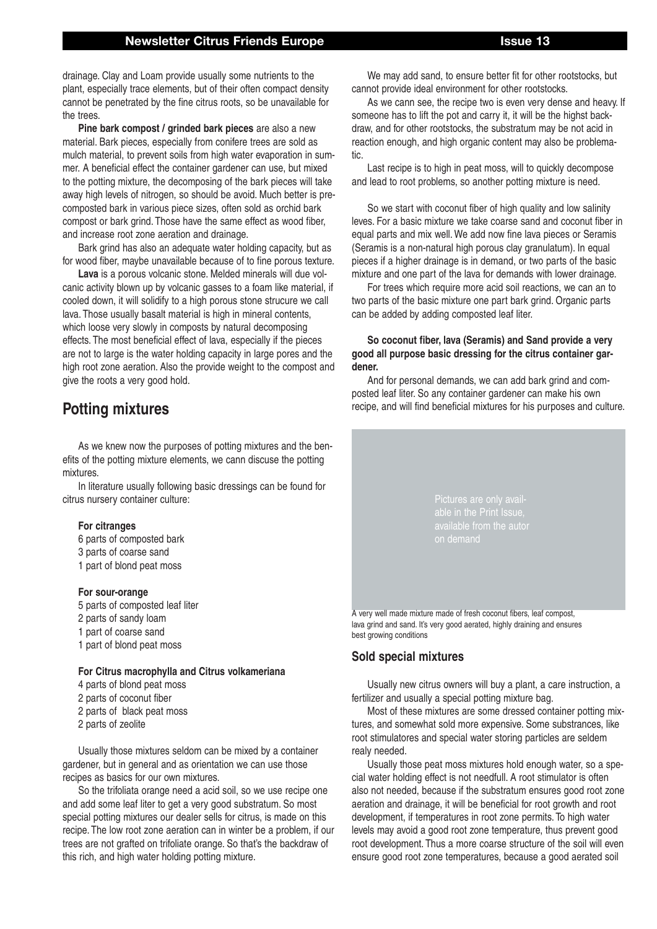# **Newsletter Citrus Friends Europe Issue 13**

drainage. Clay and Loam provide usually some nutrients to the plant, especially trace elements, but of their often compact density cannot be penetrated by the fine citrus roots, so be unavailable for the trees.

**Pine bark compost / grinded bark pieces** are also a new material. Bark pieces, especially from conifere trees are sold as mulch material, to prevent soils from high water evaporation in summer. A beneficial effect the container gardener can use, but mixed to the potting mixture, the decomposing of the bark pieces will take away high levels of nitrogen, so should be avoid. Much better is precomposted bark in various piece sizes, often sold as orchid bark compost or bark grind. Those have the same effect as wood fiber, and increase root zone aeration and drainage.

Bark grind has also an adequate water holding capacity, but as for wood fiber, maybe unavailable because of to fine porous texture.

**Lava** is a porous volcanic stone. Melded minerals will due volcanic activity blown up by volcanic gasses to a foam like material, if cooled down, it will solidify to a high porous stone strucure we call lava. Those usually basalt material is high in mineral contents, which loose very slowly in composts by natural decomposing effects. The most beneficial effect of lava, especially if the pieces are not to large is the water holding capacity in large pores and the high root zone aeration. Also the provide weight to the compost and give the roots a very good hold.

# **Potting mixtures**

As we knew now the purposes of potting mixtures and the benefits of the potting mixture elements, we cann discuse the potting mixtures.

In literature usually following basic dressings can be found for citrus nursery container culture:

#### **For citranges**

- 6 parts of composted bark
- 3 parts of coarse sand
- 1 part of blond peat moss

#### **For sour-orange**

- 5 parts of composted leaf liter
- 2 parts of sandy loam
- 1 part of coarse sand
- 1 part of blond peat moss

#### **For Citrus macrophylla and Citrus volkameriana**

- 4 parts of blond peat moss
- 2 parts of coconut fiber
- 2 parts of black peat moss
- 2 parts of zeolite

Usually those mixtures seldom can be mixed by a container gardener, but in general and as orientation we can use those recipes as basics for our own mixtures.

So the trifoliata orange need a acid soil, so we use recipe one and add some leaf liter to get a very good substratum. So most special potting mixtures our dealer sells for citrus, is made on this recipe. The low root zone aeration can in winter be a problem, if our trees are not grafted on trifoliate orange. So that's the backdraw of this rich, and high water holding potting mixture.

We may add sand, to ensure better fit for other rootstocks, but cannot provide ideal environment for other rootstocks.

As we cann see, the recipe two is even very dense and heavy. If someone has to lift the pot and carry it, it will be the highst backdraw, and for other rootstocks, the substratum may be not acid in reaction enough, and high organic content may also be problematic.

Last recipe is to high in peat moss, will to quickly decompose and lead to root problems, so another potting mixture is need.

So we start with coconut fiber of high quality and low salinity leves. For a basic mixture we take coarse sand and coconut fiber in equal parts and mix well.We add now fine lava pieces or Seramis (Seramis is a non-natural high porous clay granulatum). In equal pieces if a higher drainage is in demand, or two parts of the basic mixture and one part of the lava for demands with lower drainage.

For trees which require more acid soil reactions, we can an to two parts of the basic mixture one part bark grind. Organic parts can be added by adding composted leaf liter.

#### **So coconut fiber, lava (Seramis) and Sand provide a very good all purpose basic dressing for the citrus container gardener.**

And for personal demands, we can add bark grind and composted leaf liter. So any container gardener can make his own recipe, and will find beneficial mixtures for his purposes and culture.

> Pictures are only availavailable from the autor

A very well made mixture made of fresh coconut fibers, leaf compost, lava grind and sand. It's very good aerated, highly draining and ensures best growing conditions

## **Sold special mixtures**

Usually new citrus owners will buy a plant, a care instruction, a fertilizer and usually a special potting mixture bag.

Most of these mixtures are some dressed container potting mixtures, and somewhat sold more expensive. Some substrances, like root stimulatores and special water storing particles are seldem realy needed.

Usually those peat moss mixtures hold enough water, so a special water holding effect is not needfull. A root stimulator is often also not needed, because if the substratum ensures good root zone aeration and drainage, it will be beneficial for root growth and root development, if temperatures in root zone permits. To high water levels may avoid a good root zone temperature, thus prevent good root development. Thus a more coarse structure of the soil will even ensure good root zone temperatures, because a good aerated soil